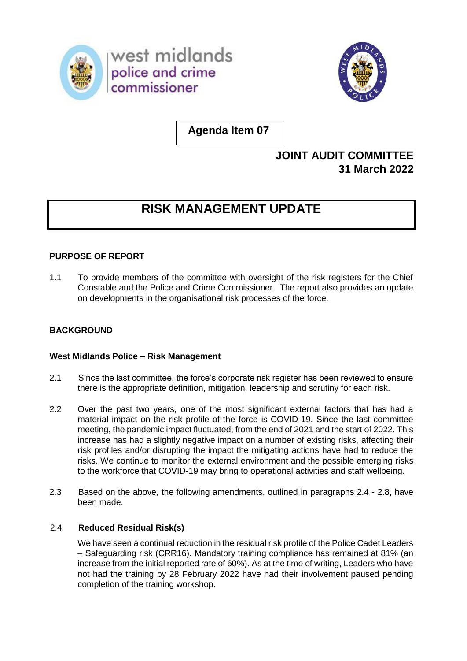



**Agenda Item 07**

# **JOINT AUDIT COMMITTEE 31 March 2022**

# **RISK MANAGEMENT UPDATE**

# **PURPOSE OF REPORT**

1.1 To provide members of the committee with oversight of the risk registers for the Chief Constable and the Police and Crime Commissioner. The report also provides an update on developments in the organisational risk processes of the force.

# **BACKGROUND**

# **West Midlands Police – Risk Management**

- 2.1 Since the last committee, the force's corporate risk register has been reviewed to ensure there is the appropriate definition, mitigation, leadership and scrutiny for each risk.
- 2.2 Over the past two years, one of the most significant external factors that has had a material impact on the risk profile of the force is COVID-19. Since the last committee meeting, the pandemic impact fluctuated, from the end of 2021 and the start of 2022. This increase has had a slightly negative impact on a number of existing risks, affecting their risk profiles and/or disrupting the impact the mitigating actions have had to reduce the risks. We continue to monitor the external environment and the possible emerging risks to the workforce that COVID-19 may bring to operational activities and staff wellbeing.
- 2.3 Based on the above, the following amendments, outlined in paragraphs 2.4 2.8, have been made.

# 2.4 **Reduced Residual Risk(s)**

 We have seen a continual reduction in the residual risk profile of the Police Cadet Leaders – Safeguarding risk (CRR16). Mandatory training compliance has remained at 81% (an increase from the initial reported rate of 60%). As at the time of writing, Leaders who have not had the training by 28 February 2022 have had their involvement paused pending completion of the training workshop.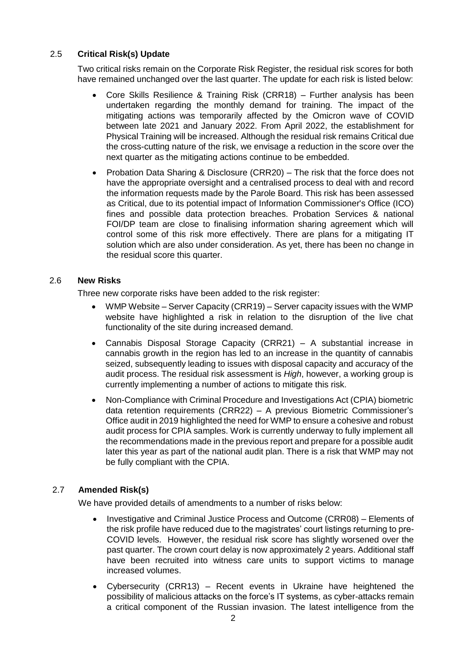# 2.5 **Critical Risk(s) Update**

Two critical risks remain on the Corporate Risk Register, the residual risk scores for both have remained unchanged over the last quarter. The update for each risk is listed below:

- Core Skills Resilience & Training Risk (CRR18) Further analysis has been undertaken regarding the monthly demand for training. The impact of the mitigating actions was temporarily affected by the Omicron wave of COVID between late 2021 and January 2022. From April 2022, the establishment for Physical Training will be increased. Although the residual risk remains Critical due the cross-cutting nature of the risk, we envisage a reduction in the score over the next quarter as the mitigating actions continue to be embedded.
- Probation Data Sharing & Disclosure (CRR20) The risk that the force does not have the appropriate oversight and a centralised process to deal with and record the information requests made by the Parole Board. This risk has been assessed as Critical, due to its potential impact of Information Commissioner's Office (ICO) fines and possible data protection breaches. Probation Services & national FOI/DP team are close to finalising information sharing agreement which will control some of this risk more effectively. There are plans for a mitigating IT solution which are also under consideration. As yet, there has been no change in the residual score this quarter.

#### 2.6 **New Risks**

Three new corporate risks have been added to the risk register:

- WMP Website Server Capacity (CRR19) Server capacity issues with the WMP website have highlighted a risk in relation to the disruption of the live chat functionality of the site during increased demand.
- Cannabis Disposal Storage Capacity (CRR21) A substantial increase in cannabis growth in the region has led to an increase in the quantity of cannabis seized, subsequently leading to issues with disposal capacity and accuracy of the audit process. The residual risk assessment is *High*, however, a working group is currently implementing a number of actions to mitigate this risk.
- Non-Compliance with Criminal Procedure and Investigations Act (CPIA) biometric data retention requirements (CRR22) – A previous Biometric Commissioner's Office audit in 2019 highlighted the need for WMP to ensure a cohesive and robust audit process for CPIA samples. Work is currently underway to fully implement all the recommendations made in the previous report and prepare for a possible audit later this year as part of the national audit plan. There is a risk that WMP may not be fully compliant with the CPIA.

# 2.7 **Amended Risk(s)**

We have provided details of amendments to a number of risks below:

- Investigative and Criminal Justice Process and Outcome (CRR08) Elements of the risk profile have reduced due to the magistrates' court listings returning to pre-COVID levels. However, the residual risk score has slightly worsened over the past quarter. The crown court delay is now approximately 2 years. Additional staff have been recruited into witness care units to support victims to manage increased volumes.
- Cybersecurity (CRR13) Recent events in Ukraine have heightened the possibility of malicious attacks on the force's IT systems, as cyber-attacks remain a critical component of the Russian invasion. The latest intelligence from the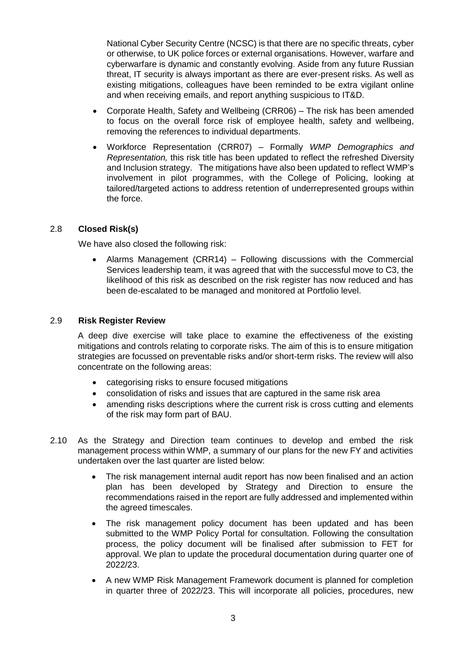National Cyber Security Centre (NCSC) is that there are no specific threats, cyber or otherwise, to UK police forces or external organisations. However, warfare and cyberwarfare is dynamic and constantly evolving. Aside from any future Russian threat, IT security is always important as there are ever-present risks. As well as existing mitigations, colleagues have been reminded to be extra vigilant online and when receiving emails, and report anything suspicious to IT&D.

- Corporate Health, Safety and Wellbeing (CRR06) The risk has been amended to focus on the overall force risk of employee health, safety and wellbeing, removing the references to individual departments.
- Workforce Representation (CRR07) Formally *WMP Demographics and Representation,* this risk title has been updated to reflect the refreshed Diversity and Inclusion strategy. The mitigations have also been updated to reflect WMP's involvement in pilot programmes, with the College of Policing, looking at tailored/targeted actions to address retention of underrepresented groups within the force.

#### 2.8 **Closed Risk(s)**

We have also closed the following risk:

• Alarms Management (CRR14) – Following discussions with the Commercial Services leadership team, it was agreed that with the successful move to C3, the likelihood of this risk as described on the risk register has now reduced and has been de-escalated to be managed and monitored at Portfolio level.

#### 2.9 **Risk Register Review**

A deep dive exercise will take place to examine the effectiveness of the existing mitigations and controls relating to corporate risks. The aim of this is to ensure mitigation strategies are focussed on preventable risks and/or short-term risks. The review will also concentrate on the following areas:

- categorising risks to ensure focused mitigations
- consolidation of risks and issues that are captured in the same risk area
- amending risks descriptions where the current risk is cross cutting and elements of the risk may form part of BAU.
- 2.10 As the Strategy and Direction team continues to develop and embed the risk management process within WMP, a summary of our plans for the new FY and activities undertaken over the last quarter are listed below:
	- The risk management internal audit report has now been finalised and an action plan has been developed by Strategy and Direction to ensure the recommendations raised in the report are fully addressed and implemented within the agreed timescales.
	- The risk management policy document has been updated and has been submitted to the WMP Policy Portal for consultation. Following the consultation process, the policy document will be finalised after submission to FET for approval. We plan to update the procedural documentation during quarter one of 2022/23.
	- A new WMP Risk Management Framework document is planned for completion in quarter three of 2022/23. This will incorporate all policies, procedures, new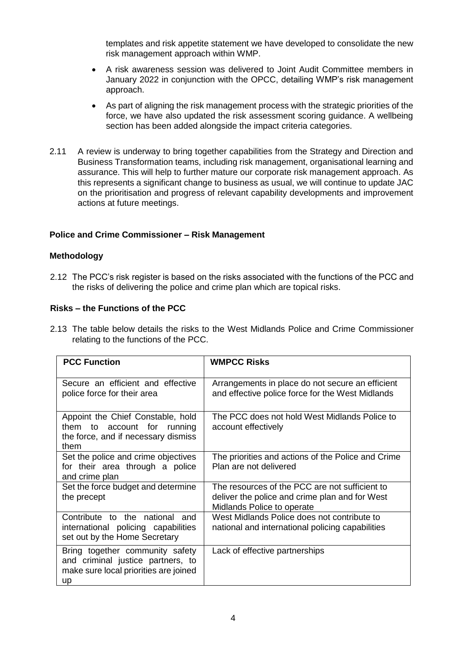templates and risk appetite statement we have developed to consolidate the new risk management approach within WMP.

- A risk awareness session was delivered to Joint Audit Committee members in January 2022 in conjunction with the OPCC, detailing WMP's risk management approach.
- As part of aligning the risk management process with the strategic priorities of the force, we have also updated the risk assessment scoring guidance. A wellbeing section has been added alongside the impact criteria categories.
- 2.11 A review is underway to bring together capabilities from the Strategy and Direction and Business Transformation teams, including risk management, organisational learning and assurance. This will help to further mature our corporate risk management approach. As this represents a significant change to business as usual, we will continue to update JAC on the prioritisation and progress of relevant capability developments and improvement actions at future meetings.

#### **Police and Crime Commissioner – Risk Management**

#### **Methodology**

2.12 The PCC's risk register is based on the risks associated with the functions of the PCC and the risks of delivering the police and crime plan which are topical risks.

### **Risks – the Functions of the PCC**

2.13 The table below details the risks to the West Midlands Police and Crime Commissioner relating to the functions of the PCC.

| <b>PCC Function</b>                                                                                                 | <b>WMPCC Risks</b>                                                                                                             |
|---------------------------------------------------------------------------------------------------------------------|--------------------------------------------------------------------------------------------------------------------------------|
| Secure an efficient and effective<br>police force for their area                                                    | Arrangements in place do not secure an efficient<br>and effective police force for the West Midlands                           |
| Appoint the Chief Constable, hold<br>them to account for<br>running<br>the force, and if necessary dismiss<br>them  | The PCC does not hold West Midlands Police to<br>account effectively                                                           |
| Set the police and crime objectives<br>for their area through a police<br>and crime plan                            | The priorities and actions of the Police and Crime<br>Plan are not delivered                                                   |
| Set the force budget and determine<br>the precept                                                                   | The resources of the PCC are not sufficient to<br>deliver the police and crime plan and for West<br>Midlands Police to operate |
| Contribute to the national<br>and<br>international policing capabilities<br>set out by the Home Secretary           | West Midlands Police does not contribute to<br>national and international policing capabilities                                |
| Bring together community safety<br>and criminal justice partners, to<br>make sure local priorities are joined<br>up | Lack of effective partnerships                                                                                                 |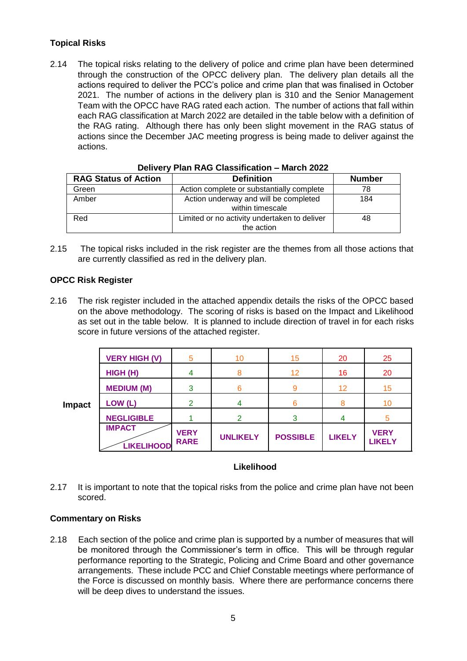# **Topical Risks**

2.14 The topical risks relating to the delivery of police and crime plan have been determined through the construction of the OPCC delivery plan. The delivery plan details all the actions required to deliver the PCC's police and crime plan that was finalised in October 2021. The number of actions in the delivery plan is 310 and the Senior Management Team with the OPCC have RAG rated each action. The number of actions that fall within each RAG classification at March 2022 are detailed in the table below with a definition of the RAG rating. Although there has only been slight movement in the RAG status of actions since the December JAC meeting progress is being made to deliver against the actions.

| <b>RAG Status of Action</b> | <b>Definition</b>                            | <b>Number</b> |  |  |  |  |  |
|-----------------------------|----------------------------------------------|---------------|--|--|--|--|--|
| Green                       | Action complete or substantially complete    | 78            |  |  |  |  |  |
| Amber                       | Action underway and will be completed        | 184           |  |  |  |  |  |
|                             | within timescale                             |               |  |  |  |  |  |
| Red                         | Limited or no activity undertaken to deliver | 48            |  |  |  |  |  |
|                             | the action                                   |               |  |  |  |  |  |

#### **Delivery Plan RAG Classification – March 2022**

2.15 The topical risks included in the risk register are the themes from all those actions that are currently classified as red in the delivery plan.

#### **OPCC Risk Register**

2.16 The risk register included in the attached appendix details the risks of the OPCC based on the above methodology. The scoring of risks is based on the Impact and Likelihood as set out in the table below. It is planned to include direction of travel in for each risks score in future versions of the attached register.

|               | <b>VERY HIGH (V)</b>               | 5                          | 10              | 15              | 20            | 25                           |
|---------------|------------------------------------|----------------------------|-----------------|-----------------|---------------|------------------------------|
| <b>Impact</b> | HIGH (H)                           |                            |                 | 12              | 16            | 20                           |
|               | <b>MEDIUM (M)</b>                  | 3                          |                 | 9               | 12            | 15                           |
|               | LOW (L)                            | $\mathcal{P}$              |                 | 6               |               | 10                           |
|               | <b>NEGLIGIBLE</b>                  |                            | ⌒               | 3               |               |                              |
|               | <b>IMPACT</b><br><b>LIKELIHOOD</b> | <b>VERY</b><br><b>RARE</b> | <b>UNLIKELY</b> | <b>POSSIBLE</b> | <b>LIKELY</b> | <b>VERY</b><br><b>LIKELY</b> |

#### **Likelihood**

2.17 It is important to note that the topical risks from the police and crime plan have not been scored.

#### **Commentary on Risks**

2.18 Each section of the police and crime plan is supported by a number of measures that will be monitored through the Commissioner's term in office. This will be through regular performance reporting to the Strategic, Policing and Crime Board and other governance arrangements. These include PCC and Chief Constable meetings where performance of the Force is discussed on monthly basis. Where there are performance concerns there will be deep dives to understand the issues.